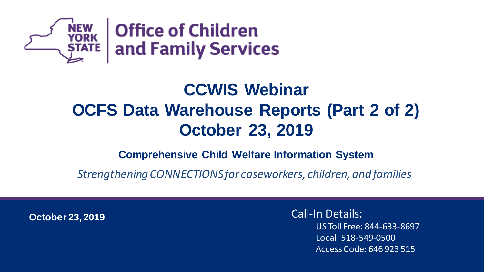

### **CCWIS Webinar OCFS Data Warehouse Reports (Part 2 of 2) October 23, 2019**

**Comprehensive Child Welfare Information System**

*Strengthening CONNECTIONS for caseworkers, children, and families*

**October 23, 2019**

Call-In Details: US Toll Free: 844-633-8697 Local: 518-549-0500 Access Code: 646 923 515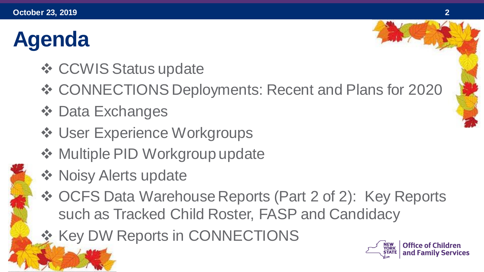# **Agenda**

- ❖ CCWIS Status update
- ❖ CONNECTIONS Deployments: Recent and Plans for 2020
- ❖ Data Exchanges
- ❖ User Experience Workgroups
- ❖ Multiple PID Workgroup update
- ❖ Noisy Alerts update
- ❖ OCFS Data Warehouse Reports (Part 2 of 2): Key Reports such as Tracked Child Roster, FASP and Candidacy
- ❖ Key DW Reports in CONNECTIONS

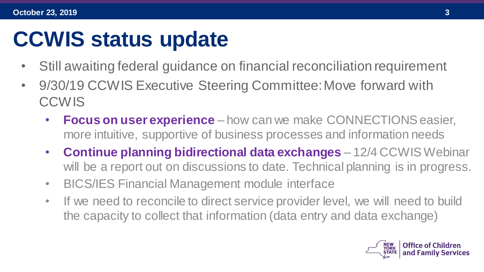# **CCWIS status update**

- Still awaiting federal guidance on financial reconciliation requirement
- 9/30/19 CCWIS Executive Steering Committee: Move forward with **CCWIS** 
	- **Focus on user experience**  how can we make CONNECTIONS easier, more intuitive, supportive of business processes and information needs
	- **Continue planning bidirectional data exchanges**  12/4 CCWIS Webinar will be a report out on discussions to date. Technical planning is in progress.
	- BICS/IES Financial Management module interface
	- If we need to reconcile to direct service provider level, we will need to build the capacity to collect that information (data entry and data exchange)

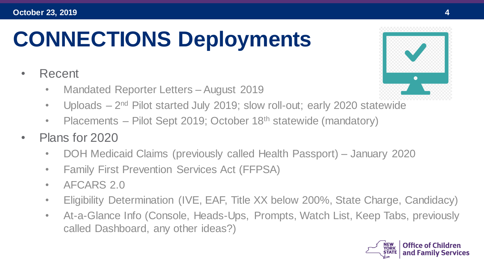# **CONNECTIONS Deployments**

• Recent

**October 23, 2019 4**

- Mandated Reporter Letters August 2019
- Uploads 2<sup>nd</sup> Pilot started July 2019; slow roll-out; early 2020 statewide
- Placements Pilot Sept 2019; October 18<sup>th</sup> statewide (mandatory)
- Plans for 2020
	- DOH Medicaid Claims (previously called Health Passport) January 2020
	- Family First Prevention Services Act (FFPSA)
	- AFCARS 2.0
	- Eligibility Determination (IVE, EAF, Title XX below 200%, State Charge, Candidacy)
	- At-a-Glance Info (Console, Heads-Ups, Prompts, Watch List, Keep Tabs, previously called Dashboard, any other ideas?)



and Family Services

ŃEW<br>YORK<br>STATE



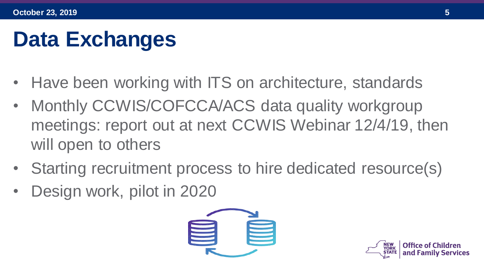# **Data Exchanges**

- Have been working with ITS on architecture, standards
- Monthly CCWIS/COFCCA/ACS data quality workgroup meetings: report out at next CCWIS Webinar 12/4/19, then will open to others
- Starting recruitment process to hire dedicated resource(s)
- Design work, pilot in 2020



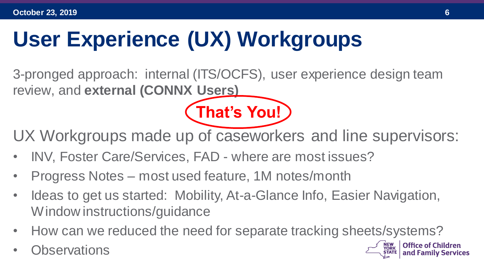# **User Experience (UX) Workgroups**

3-pronged approach: internal (ITS/OCFS), user experience design team review, and **external (CONNX Users)**

UX Workgroups made up of caseworkers and line supervisors:

**That's You!**

- INV, Foster Care/Services, FAD where are most issues?
- Progress Notes most used feature, 1M notes/month
- Ideas to get us started: Mobility, At-a-Glance Info, Easier Navigation, Window instructions/guidance
- How can we reduced the need for separate tracking sheets/systems?
- **Observations**

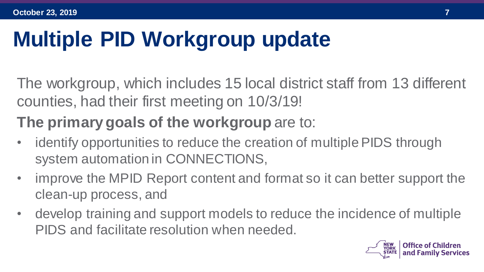The workgroup, which includes 15 local district staff from 13 different counties, had their first meeting on 10/3/19!

#### **The primary goals of the workgroup** are to:

- identify opportunities to reduce the creation of multiple PIDS through system automation in CONNECTIONS,
- improve the MPID Report content and format so it can better support the clean-up process, and
- develop training and support models to reduce the incidence of multiple PIDS and facilitate resolution when needed.

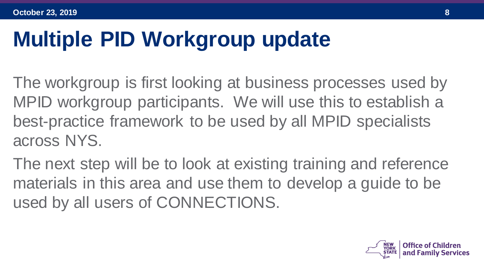The workgroup is first looking at business processes used by MPID workgroup participants. We will use this to establish a best-practice framework to be used by all MPID specialists across NYS.

The next step will be to look at existing training and reference materials in this area and use them to develop a guide to be used by all users of CONNECTIONS.

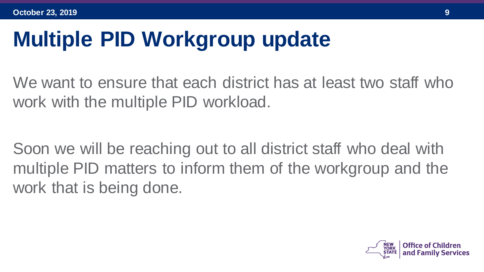We want to ensure that each district has at least two staff who work with the multiple PID workload.

Soon we will be reaching out to all district staff who deal with multiple PID matters to inform them of the workgroup and the work that is being done.

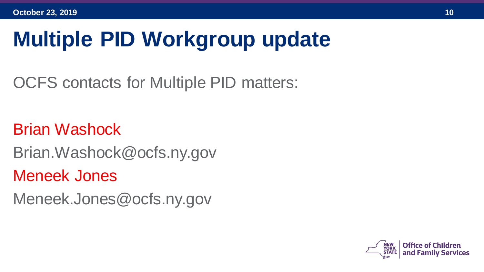OCFS contacts for Multiple PID matters:

Brian Washock Brian.Washock@ocfs.ny.gov Meneek Jones Meneek.Jones@ocfs.ny.gov

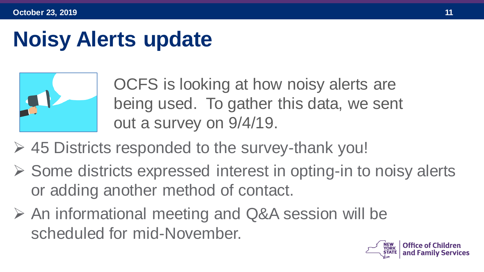# **Noisy Alerts update**



OCFS is looking at how noisy alerts are being used. To gather this data, we sent out a survey on 9/4/19.

- $\geq$  45 Districts responded to the survey-thank you!
- ➢ Some districts expressed interest in opting-in to noisy alerts or adding another method of contact.
- ➢ An informational meeting and Q&A session will be scheduled for mid-November.

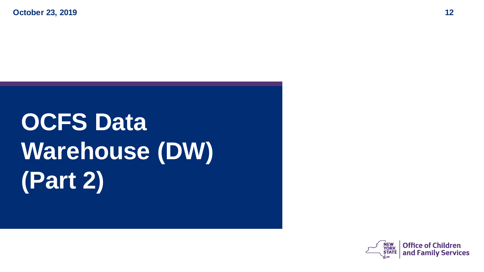# **OCFS Data Warehouse (DW) (Part 2)**

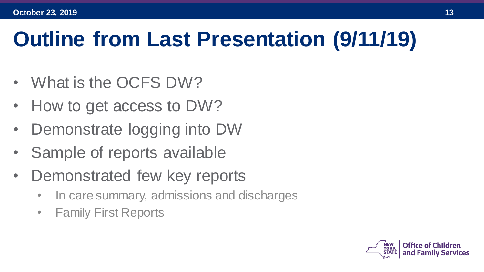# **Outline from Last Presentation (9/11/19)**

- What is the OCFS DW?
- How to get access to DW?
- Demonstrate logging into DW
- Sample of reports available
- Demonstrated few key reports
	- In care summary, admissions and discharges
	- Family First Reports

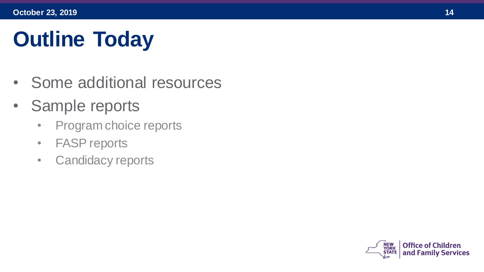# **Outline Today**

- Some additional resources
- Sample reports
	- Program choice reports
	- FASP reports
	- Candidacy reports

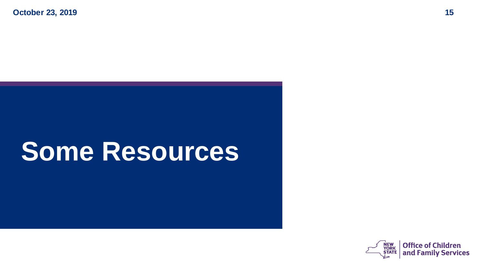# **Some Resources**

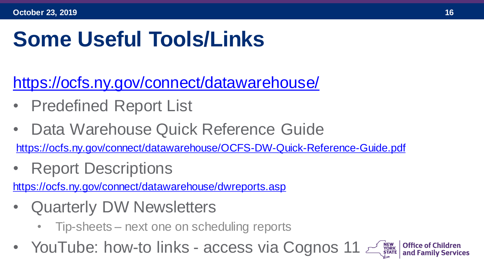# **Some Useful Tools/Links**

<https://ocfs.ny.gov/connect/datawarehouse/>

- Predefined Report List
- Data Warehouse Quick Reference Guide

<https://ocfs.ny.gov/connect/datawarehouse/OCFS-DW-Quick-Reference-Guide.pdf>

• Report Descriptions

<https://ocfs.ny.gov/connect/datawarehouse/dwreports.asp>

- Quarterly DW Newsletters
	- Tip-sheets next one on scheduling reports
- YouTube: how-to links access via Cognos 11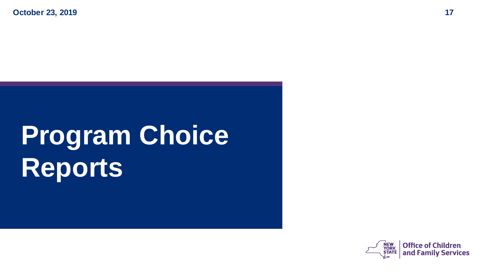# **Program Choice Reports**

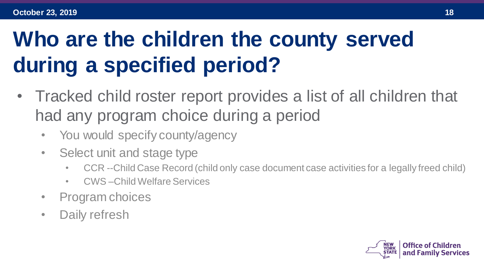# **Who are the children the county served during a specified period?**

- Tracked child roster report provides a list of all children that had any program choice during a period
	- You would specify county/agency
	- Select unit and stage type
		- CCR --Child Case Record (child only case document case activities for a legally freed child)
		- CWS –Child Welfare Services
	- Program choices
	- Daily refresh

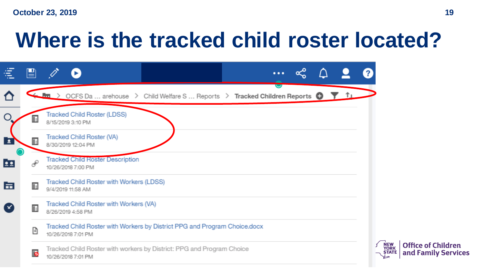# **Where is the tracked child roster located?**



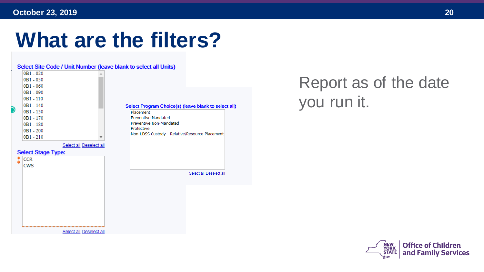### **What are the filters?**



### Report as of the date you run it.

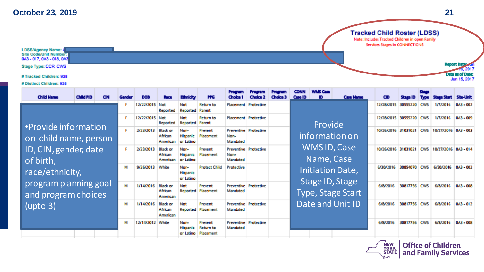LDSS/Agency Name: A<br>Site Code/Unit Number:<br>0A3 - 017, 0A3 - 018, 0A3

Stage Type: CCR, CWS

#### # Tracked Children: 938

# Distinct Children: 938

| <b>Child Name</b><br><b>Child PID</b>        |   | <b>DOR</b>       | Race                                   | <b>Ethnich</b>                       | <b>PPG</b>                               | Choice 1                                         | <b>Choice 2</b> | <b>SECOND</b><br>Choice 3 | <b>CONN</b><br>Case ID                                          | <b>WMS Case</b><br>ID | <b>Case Name</b> | CID        |                |             |                | Site-Unit   |
|----------------------------------------------|---|------------------|----------------------------------------|--------------------------------------|------------------------------------------|--------------------------------------------------|-----------------|---------------------------|-----------------------------------------------------------------|-----------------------|------------------|------------|----------------|-------------|----------------|-------------|
|                                              |   | 12/22/2015       | Not<br>Reported                        | Not<br>Reported                      | <b>Return to</b><br>Parent               | Placement                                        | Protective      |                           |                                                                 |                       |                  | 12/28/2015 | 30555220 CWS   |             | 1/7/2016       | $0A3 - 002$ |
| • Provide information                        | c | 12/22/2015       | Not<br>Reported                        | Not<br>Reported                      | <b>Return to</b><br>Parent               | Placement                                        | Protective      |                           | Provide<br>information on                                       | 12/28/2015            | 30555220         | <b>CWS</b> | 1/7/2016       | 0A3 - 009   |                |             |
| on child name, person                        | c | 2/23/2013        | <b>Black or</b><br>African<br>American | Non-<br>Hispanic<br>or Latino        | Prevent<br>Placement                     | <b>Preventive Protective</b><br>Non-<br>Mandated |                 |                           |                                                                 | 10/26/2016            | 31031021         |            | CWS 10/27/2016 | $0A3 - 003$ |                |             |
| ID, CIN, gender, date<br>of birth,           | с | 2/23/2013        | <b>Black or</b><br>African<br>American | Non-<br>Hispanic<br>or Latino        | Prevent<br>Placement                     | <b>Preventive Protective</b><br>Non-<br>Mandated |                 |                           |                                                                 | Name, Case            | WMS ID, Case     | 10/26/2016 | 31031021       |             | CWS 10/27/2016 | $0A3 - 014$ |
| race/ethnicity,                              | м | 9/26/2013        | White                                  | Non-<br><b>Hispanic</b><br>or Latino | <b>Protect Child</b>                     | Protective                                       |                 |                           | <b>Initiation Date,</b><br>Stage ID, Stage<br>Type, Stage Start | 6/30/2016             | 30854070         | <b>CWS</b> | 6/30/2016      | $0A3 - 002$ |                |             |
| program planning goal<br>and program choices | м | 1/14/2016        | <b>Black or</b><br>African<br>American | Not<br>Reported                      | Prevent<br>Placement                     | Preventive<br>Mandated                           | Protective      |                           |                                                                 |                       | 6/8/2016         | 30817756   | <b>CWS</b>     | 6/8/2016    | $0A3 - 008$    |             |
| $($ upto 3 $)$                               | м | 1/14/2016        | <b>Black or</b><br>African<br>American | Not<br>Reported                      | Prevent<br>Placement                     | <b>Preventive</b><br>Mandated                    | Protective      |                           | Date and Unit ID                                                |                       |                  | 6/8/2016   | 30817756 CWS   |             | 6/8/2016       | $0A3 - 012$ |
|                                              | м | 12/14/2012 White |                                        | Non-<br><b>Hispanic</b><br>or Latino | Prevent<br><b>Return to</b><br>Placement | <b>Preventive</b><br>Mandated                    | Protective      |                           |                                                                 |                       |                  | 6/8/2016   | 30817756 CWS   |             | 6/8/2016       | $0A3 - 008$ |



**Office of Children** and Family Services

**Report Date** 

Jun 15, 2017

2017 **Data as of Date:** 

**Tracked Child Roster (LDSS)** Note: Includes Tracked Children in open Family **Services Stages in CONNECTIONS**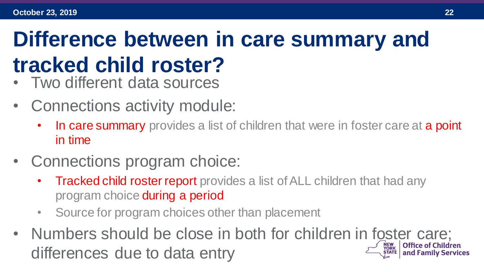# **Difference between in care summary and tracked child roster?**

- Two different data sources
- Connections activity module:
	- In care summary provides a list of children that were in foster care at a point in time
- Connections program choice:
	- Tracked child roster report provides a list of ALL children that had any program choice during a period
	- Source for program choices other than placement
- Numbers should be close in both for children in foster care; differences due to data entry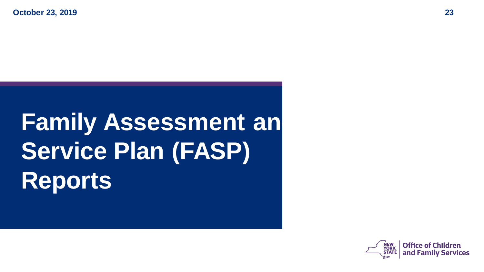# **Family Assessment and Service Plan (FASP) Reports**

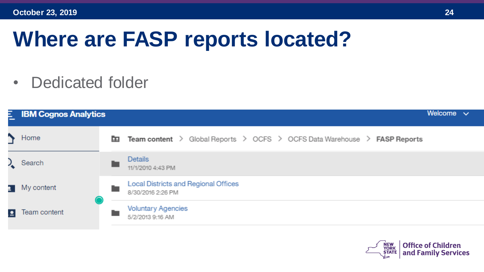# **Where are FASP reports located?**

• Dedicated folder



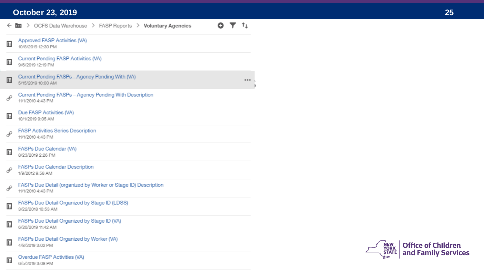Ŀ

6/5/2019 3:08 PM

 $\leftarrow$  **bu** > OCFS Data Warehouse > FASP Reports > Voluntary Agencies

Approved FASP Activities (VA) E 10/8/2019 12:30 PM **Current Pending FASP Activities (VA)** E 9/6/2019 12:19 PM Current Pending FASPs - Agency Pending With (VA)<br>5/15/2019 10:00 AM<br>Current Pending FASPs - Agency Pending With Description Ŀ  $P = \frac{11/1/20104.43 \text{ PM}}{11/1/20104.43 \text{ PM}}$ Ŀ 10/1/2019 9:05 AM<br>FASP Activities Series Description  $\mathscr{E}$ ersetting<br>Due Calendar (VA)<br>The Calendar (VA) Ŀ 8/23/2019 2:26 PM **FASPs Due Calendar Description**  $\mathscr{E}$ 1/9/2012 9:58 AM FASPs Due Detail (organized by Worker or Stage ID) Description  $\mathscr{E}$ 11/1/2010 4:43 PM FASPs Due Detail Organized by Stage ID (LDSS) **I** 3/22/2018 10:53 AM FASPs Due Detail Organized by Stage ID (VA)  $\mathbb{R}$ 6/20/2019 11:42 AM FASPs Due Detail Organized by Worker (VA) **I** 4/8/2019 3:02 PM Overdue FASP Activities (VA)

 $\mathbf{r}$   $\mathbf{r}_1$ 

Ô

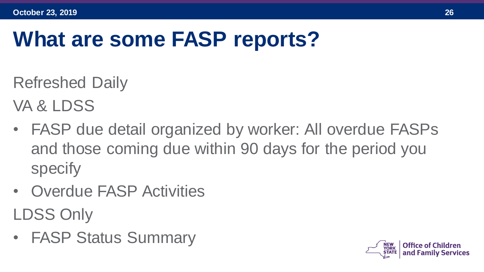# **What are some FASP reports?**

Refreshed Daily VA & LDSS

- FASP due detail organized by worker: All overdue FASPs and those coming due within 90 days for the period you specify
- Overdue FASP Activities LDSS Only
- FASP Status Summary

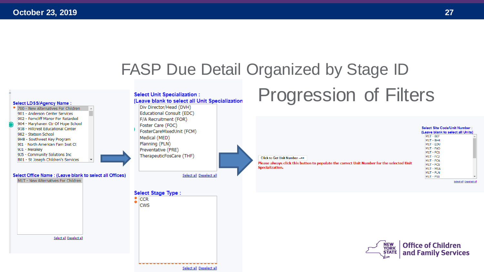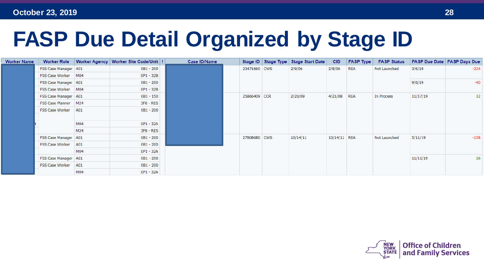E

# **FASP Due Detail Organized by Stage ID**

| Worker Name | <b>Worker Role</b>     |                 | Worker Agency   Worker Site Code/Unit   ! | Case ID/Name |              |  | Stage ID   Stage Type   Stage Start Date | <b>CID</b>   | <b>FASP Type</b> | <b>FASP Status</b> |          | FASP Due Date   FASP Days Due |
|-------------|------------------------|-----------------|-------------------------------------------|--------------|--------------|--|------------------------------------------|--------------|------------------|--------------------|----------|-------------------------------|
|             | FSS Case Manager   A01 |                 | 0B1 - 200                                 |              | 23471660 CWS |  | 2/9/06                                   | 2/8/06       | <b>REA</b>       | Not Launched       | 3/6/19   | $-224$                        |
|             | FSS Case Worker        | M <sub>04</sub> | 0P1 - 32B                                 |              |              |  |                                          |              |                  |                    |          |                               |
|             | FSS Case Manager   A01 |                 | $0B1 - 200$                               |              |              |  |                                          |              |                  |                    | 9/6/19   | $-40$                         |
|             | FSS Case Worker        | M04             | OP1 - 32B                                 |              |              |  |                                          |              |                  |                    |          |                               |
|             | FSS Case Manager   A01 |                 | 0B1 - 150                                 |              | 25866409 CCR |  | 2/20/09                                  | 4/21/08      | <b>REA</b>       | In Process         | 11/17/19 | 32 <sup>°</sup>               |
|             | FSS Case Planner       | M24             | 3F8 - RES                                 |              |              |  |                                          |              |                  |                    |          |                               |
|             | FSS Case Worker        | A01             | $0B1 - 200$                               |              |              |  |                                          |              |                  |                    |          |                               |
|             |                        | M04             | 0P1 - 32A                                 |              |              |  |                                          |              |                  |                    |          |                               |
|             |                        | M24             | 3F8 - RES                                 |              |              |  |                                          |              |                  |                    |          |                               |
|             | FSS Case Manager   A01 |                 | $0B1 - 200$                               |              | 27808680 CWS |  | 10/14/11                                 | 10/14/11 REA |                  | Not Launched       | 5/11/19  | $-158$                        |
|             | FSS Case Worker        | A01             | 0B1 - 200                                 |              |              |  |                                          |              |                  |                    |          |                               |
|             |                        | M04             | 0P1 - 32A                                 |              |              |  |                                          |              |                  |                    |          |                               |
|             | FSS Case Manager   A01 |                 | $0B1 - 200$                               |              |              |  |                                          |              |                  |                    | 11/11/19 | 26                            |
|             | <b>FSS Case Worker</b> | A01             | 0B1 - 200                                 |              |              |  |                                          |              |                  |                    |          |                               |
|             |                        | M04             | 0P1 - 32A                                 |              |              |  |                                          |              |                  |                    |          |                               |

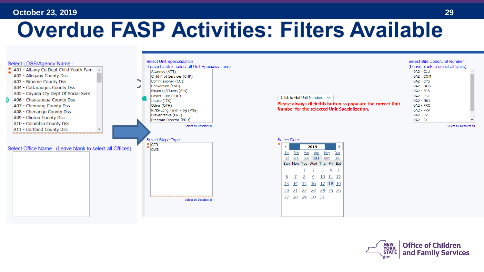### **Overdue FASP Activities: Filters Available**



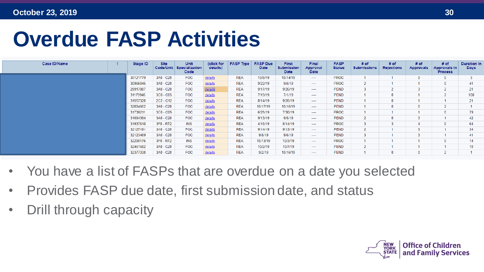## **Overdue FASP Activities**

| Case ID/Name | Stage ID | <b>Site</b> | Unit<br>Code/Unit Specialization<br>Code | (click for<br>details) | <b>FASP Type</b> | <b>FASP Due</b><br><b>Date</b> | <b>First</b><br><b>Submission</b><br>Date | Final<br>Approval<br><b>Date</b> | <b>FASP</b><br><b>Status</b> | # of<br><b>Submissions</b> | # of<br><b>Rejections</b> | # of<br><b>Approvals</b> | # of<br><b>Approvals In</b><br><b>Process</b> | <b>Duration In</b><br>Days |
|--------------|----------|-------------|------------------------------------------|------------------------|------------------|--------------------------------|-------------------------------------------|----------------------------------|------------------------------|----------------------------|---------------------------|--------------------------|-----------------------------------------------|----------------------------|
|              | 30121779 | 3A0 - C20   | <b>FOC</b>                               | details                | <b>REA</b>       | 10/8/19                        | 10/14/19                                  | <b>Service</b>                   | PROC                         |                            |                           |                          |                                               |                            |
|              | 30966045 | 3A0 - C20   | <b>FOC</b>                               | details                | <b>REA</b>       | 9/22/19                        | 9/6/19                                    | $\sim$                           | <b>PROC</b>                  | $\overline{2}$             |                           |                          |                                               | 41                         |
|              | 28917887 | 3A0 - C20   | <b>FOC</b>                               | details                | <b>REA</b>       | 9/17/19                        | 9/26/19                                   | $- - - -$                        | <b>PEND</b>                  | 3                          |                           |                          |                                               | 21                         |
|              | 31179945 | $3C0 - C05$ | <b>FOC</b>                               | details                | <b>REA</b>       | 7/19/19                        | 7/1/19                                    | $\cdots$                         | <b>PEND</b>                  |                            |                           |                          |                                               | 108                        |
|              | 31557320 | $2C2 - C12$ | <b>FOC</b>                               | details                | <b>REA</b>       | 8/14/19                        | 9/26/19                                   | $\cdots$                         | <b>PEND</b>                  |                            |                           |                          |                                               | 21                         |
|              | 32004662 | 3A0 - C20   | <b>FOC</b>                               | details                | <b>REA</b>       | 10/17/19                       | 10/16/19                                  | ----                             | <b>PEND</b>                  |                            |                           |                          |                                               |                            |
|              | 31738211 | $3C0 - C05$ | <b>FOC</b>                               | details                | <b>REA</b>       | 6/25/19                        | 7/30/19                                   | <b>Service</b>                   | PROC                         |                            |                           |                          |                                               | 79                         |
|              | 31894394 | 3A0 - C20   | <b>FOC</b>                               | details                | <b>REA</b>       | 9/13/19                        | 9/5/19                                    | <b>Service</b>                   | <b>PEND</b>                  | $\overline{2}$             |                           |                          |                                               | 42                         |
|              | 31937818 | 3F0 - RT2   | <b>INS</b>                               | details                | <b>REA</b>       | 4/16/19                        | 8/14/19                                   | $\cdots$                         | <b>PROC</b>                  | $\overline{3}$             |                           |                          |                                               | 64                         |
|              | 32127191 | 3A0 - C20   | <b>FOC</b>                               | details                | <b>REA</b>       | 9/14/19                        | 9/13/19                                   | $- - - -$                        | <b>PEND</b>                  | $\overline{2}$             |                           |                          |                                               | 34                         |
|              | 32123469 | 3A0 - C20   | <b>FOC</b>                               | details                | <b>REA</b>       | 9/8/19                         | 9/6/19                                    | ----                             | <b>PEND</b>                  | 3                          |                           |                          |                                               | 41                         |
|              | 32200176 | 3F0 - RT2   | <b>INS</b>                               | details                | <b>REA</b>       | 10/13/19                       | 10/3/19                                   | ----                             | PROC                         |                            |                           |                          |                                               | 14                         |
|              | 32461582 | 3A0 - C20   | <b>FOC</b>                               | details                | <b>REA</b>       | 10/2/19                        | 10/7/19                                   | <b>Service</b>                   | <b>PEND</b>                  |                            |                           |                          |                                               | 10 <sub>1</sub>            |
|              | 32377338 | 3A0 - C20   | <b>FOC</b>                               | details                | <b>REA</b>       | 9/2/19                         | 10/16/19                                  | <b>Service</b>                   | <b>PEND</b>                  |                            |                           | U                        |                                               |                            |

- You have a list of FASPs that are overdue on a date you selected
- Provides FASP due date, first submission date, and status
- Drill through capacity

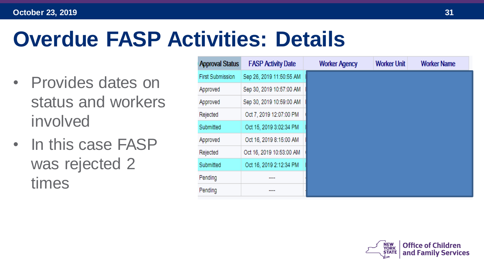## **Overdue FASP Activities: Details**

- Provides dates on status and workers involved
- In this case FASP was rejected 2 times

| <b>Approval Status</b>  | <b>FASP Activity Date</b> | <b>Worker Agency</b> | <b>Worker Unit</b> | <b>Worker Name</b> |
|-------------------------|---------------------------|----------------------|--------------------|--------------------|
| <b>First Submission</b> | Sep 26, 2019 11:50:55 AM  |                      |                    |                    |
| Approved                | Sep 30, 2019 10:57:00 AM  |                      |                    |                    |
| Approved                | Sep 30, 2019 10:59:00 AM  |                      |                    |                    |
| Rejected                | Oct 7, 2019 12:07:00 PM   |                      |                    |                    |
| Submitted               | Oct 15, 2019 3:02:34 PM   |                      |                    |                    |
| Approved                | Oct 16, 2019 8:15:00 AM   |                      |                    |                    |
| Rejected                | Oct 16, 2019 10:53:00 AM  |                      |                    |                    |
| Submitted               | Oct 16, 2019 2:12:34 PM   |                      |                    |                    |
| Pending                 | ----                      |                      |                    |                    |
| Pending                 | ----                      |                      |                    |                    |

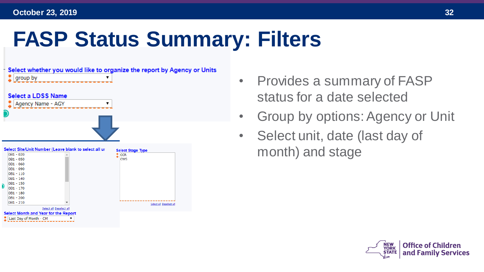# **FASP Status Summary: Filters**



- Provides a summary of FASP status for a date selected
- Group by options: Agency or Unit
- Select unit, date (last day of month) and stage

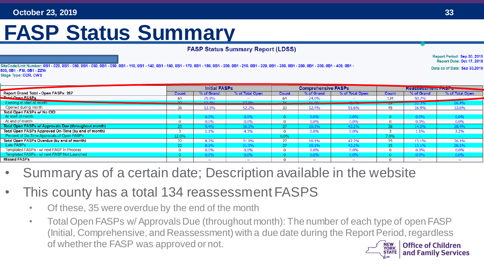### **FASP Status Summary**

#### **FASP Status Summary Report (LDSS)**

Report Period: Sep 30, 2019 Report Date: Oct 17, 2019 Data as of Date: Sep 30,2019

0B1 - 050, 0B1 - 060, 0B1 - 090, 0B1 - 110, 0B1 - 140, 0B1 - 150, 0B1 - 170, 0B1 - 180, 0B1 - 200, 0B1 - 210, 0B1 - 320, 0B1 - 350, 0B1 - 380, 0B1 - 390, 0B1 - 400, 0B1 -500, 0B1 - FSI, 0B1 - ZZW Stage Type: CCR, CWS

|                                                      | <b>Initial FASPs</b> |                |                 |       | <b>Comprehensive FASPs</b> |                 | <b>Reassessment racing</b> |                |                 |  |  |
|------------------------------------------------------|----------------------|----------------|-----------------|-------|----------------------------|-----------------|----------------------------|----------------|-----------------|--|--|
| Report Grand Total - Open FASPs: 267                 | <b>Count</b>         | % of Grand     | % of Total Open | Count | % of Grand                 | % of Total Open | Count                      | % of Grand     | % of Total Open |  |  |
| <b>Tatal Open FASPs</b>                              | 69                   | 25.8%          | $\sim$          | 64    | 24.0%                      | $\sim$          | 134                        | 50.2%          | --              |  |  |
| <b>Existing at start of month</b>                    | $\sim$               | 42.40          | 17.001          |       | $-44.001$                  | 40.401          | $\overline{\mathbf{c}}$    | 33.370         | 66.4%           |  |  |
| Opened during month                                  | 36                   | 13.5%          | 52.2%           | 33    | 12.4%                      | 51.6%           | 45                         | 16.9%          | 33.6%           |  |  |
| Total Open FASPs w/ No CID:                          |                      |                |                 |       |                            |                 |                            |                |                 |  |  |
| . At start of month                                  |                      | $0.0\%$        | 0.0%            |       | 0.0%                       | 0.0%            |                            | 0.0%           | 0.0%            |  |  |
| . At end of month                                    |                      | 0.0%           | 0.0%            |       | 0.0%                       | 0.0%            |                            | 0.0%           | 0.0%            |  |  |
| Total Open FASPs w/ Approvals Due (throughout month) | 25.                  | 9.4%           | 36.2%           |       | 10.1%                      | 42.2%           | 38                         | 14.2%          | 28.4%           |  |  |
| Total Open FASPs Approved On-Time (by end of month)  |                      | 1.1%           | 4.3%            |       | 0.0%                       | 0.0%            |                            | 1.1%           | 2.2%            |  |  |
| Percent of On-Time Approvals of Open FASPs           | 12.0%                | <b>Service</b> | $\sim$          | 0.0%  |                            |                 | 7.9%                       | <b>Service</b> |                 |  |  |
| Total Open FASPs Overdue (by end of month)           | 22                   | 8.2%           | 31.9%           | 27    | 10.1%                      | 42.2%           | 35                         | 13.1%          | 26.1%           |  |  |
| Late FASPs                                           | 22                   | 8.2%           | 31.9%           |       | 10.1%                      | 42.2%           | 35                         | 13.1%          | 26.1%           |  |  |
| Templated FASPs - w/ next FASP In Process            |                      | 0.0%           | 0.0%            |       | 0.0%                       | 0.0%            |                            | 0.0%           | 0.0%            |  |  |
| Templated FASPs - w/ next FASP Not Launched          |                      | 0.0%           | 0.0%            |       | 0.0%                       |                 |                            | 0.0%           | 0.0%            |  |  |
| <b>Missed FASPs</b>                                  |                      | $\sim$         | $\sim$          |       | $-$                        | $\sim$          |                            | $\sim$         | $-$             |  |  |

- Summary as of a certain date; Description available in the website
- This county has a total 134 reassessment FASPS
	- Of these, 35 were overdue by the end of the month
	- Total Open FASPs w/ Approvals Due (throughout month): The number of each type of open FASP (Initial, Comprehensive, and Reassessment) with a due date during the Report Period, regardless of whether the FASP was approved or not. **Office of Children** YORK and Family Services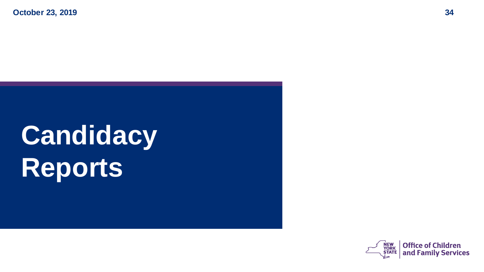# **Candidacy Reports**

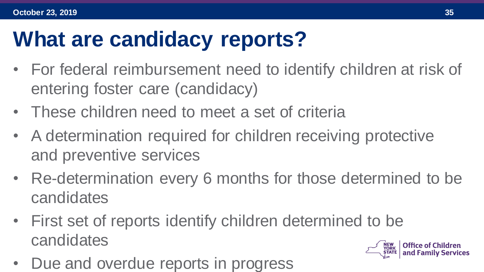## **What are candidacy reports?**

- For federal reimbursement need to identify children at risk of entering foster care (candidacy)
- These children need to meet a set of criteria
- A determination required for children receiving protective and preventive services
- Re-determination every 6 months for those determined to be candidates
- First set of reports identify children determined to be candidates
- Due and overdue reports in progress

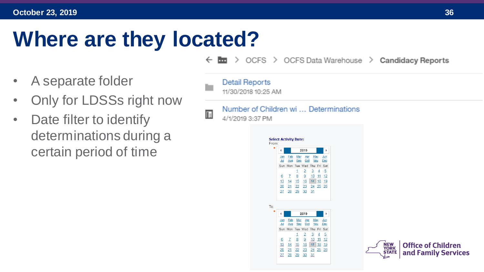### **Where are they located?**

Ŀ

- A separate folder
- Only for LDSSs right now
- Date filter to identify determinations during a certain period of time

|   | alcu :<br>← <b>budges</b> > OCFS > OCFS Data Warehouse > <b>Candidacy Reports</b> |                                                                                                                                                                                                                                                                                                                                                                                                                                                                                                                                                                                                                                                                                    |                                     |                                                  |
|---|-----------------------------------------------------------------------------------|------------------------------------------------------------------------------------------------------------------------------------------------------------------------------------------------------------------------------------------------------------------------------------------------------------------------------------------------------------------------------------------------------------------------------------------------------------------------------------------------------------------------------------------------------------------------------------------------------------------------------------------------------------------------------------|-------------------------------------|--------------------------------------------------|
|   | <b>Detail Reports</b><br>11/30/2018 10:25 AM                                      |                                                                                                                                                                                                                                                                                                                                                                                                                                                                                                                                                                                                                                                                                    |                                     |                                                  |
| E | 4/1/2019 3:37 PM<br>From:<br>To:                                                  | Number of Children wi  Determinations<br><b>Select Activity Date:</b><br>2019<br>Þ.<br>◀<br>Feb<br>Mar<br>Apr<br>May<br>Jun<br>Jan<br>Jul<br>Aug<br>Sep Oct<br>Nov<br>Dec<br>Sun Mon Tue Wed Thu Fri Sat<br>$\overline{2}$<br>$3 \quad 4 \quad 5$<br>1<br>$\mathcal{I}$<br>8<br>9<br>10 11 12<br>6<br>14 15 16 17 18 19<br><u>13</u><br>20<br>21 22 23 24 25 26<br>27 28 29 30 31<br>2019<br>ь<br>Feb<br>Apr<br>May<br>Jun<br>Jan<br>Mar<br>Aug<br>Oct<br>Nov<br>Dec<br>Jul<br>Sep<br>Sun Mon Tue Wed Thu Fri Sat<br>$\overline{2}$<br>3<br>5<br>1.<br>4<br>7<br>8<br>9<br>10 11 12<br>6<br>13<br>14 15 16<br>17 18 19<br>21 22 23<br>24 25 26<br>20<br>27<br>28<br>29<br>30<br>31 | <b>NEW<br/>YORK</b><br><b>STATE</b> | <b>Office of Children</b><br>and Family Services |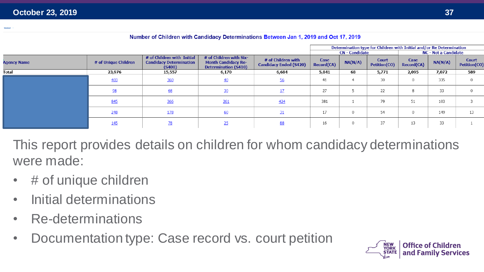|                    |                      |                                                                        |                                                                                      |                                                     |                    |                                               | Determination type for Children with Initial and/or Re Determination |                    |         |                              |  |
|--------------------|----------------------|------------------------------------------------------------------------|--------------------------------------------------------------------------------------|-----------------------------------------------------|--------------------|-----------------------------------------------|----------------------------------------------------------------------|--------------------|---------|------------------------------|--|
|                    |                      |                                                                        |                                                                                      |                                                     |                    | <b>CN</b> - Candidate<br>NC - Not a Candidate |                                                                      |                    |         |                              |  |
| <b>Agency Name</b> | # of Unique Children | # of Children with Initial<br><b>Candidacy Determination</b><br>(S400) | # of Children with Six-<br><b>Month Candidacy Re-</b><br><b>Determination (S410)</b> | # of Children with<br><b>Candidacy Ended (S420)</b> | Case<br>Record(CA) | NA(N/A)                                       | Court<br>Petition(CO)                                                | Case<br>Record(CA) | NA(N/A) | <b>Court</b><br>Petition(CO) |  |
| <b>Fotal</b>       | 23,976               | 15,557                                                                 | 6,170                                                                                | 6,684                                               | 5,841              | 68                                            | 5,771                                                                | 2,095              | 7,072   | 589                          |  |
|                    | 403                  | 360                                                                    | 40                                                                                   | 56                                                  | 41                 | 4                                             | 30                                                                   | 0                  | 335     |                              |  |
|                    | 98                   | 68                                                                     | 30                                                                                   |                                                     | 27                 |                                               | 22                                                                   | 8                  | 33      |                              |  |
|                    | 845                  | 366                                                                    | 261                                                                                  | 424                                                 | 381                |                                               | 79                                                                   | 51                 | 103     |                              |  |
|                    | 248                  | 178                                                                    | 60                                                                                   | 31                                                  | 17                 | $\theta$                                      | 54                                                                   | $\mathbf{0}$       | 149     | 13                           |  |
|                    | 145                  | <u>78</u>                                                              | 25                                                                                   |                                                     | 16                 | $\mathbf{0}$                                  | 37                                                                   | 13                 | 33      |                              |  |

This report provides details on children for whom candidacy determinations were made:

- # of unique children
- Initial determinations
- Re-determinations
- Documentation type: Case record vs. court petition

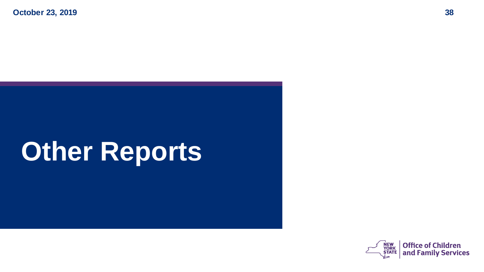# **Other Reports**

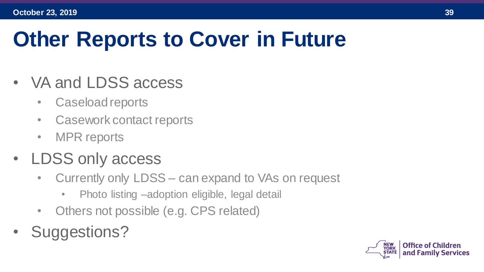# **Other Reports to Cover in Future**

- VA and LDSS access
	- Caseload reports
	- Casework contact reports
	- MPR reports
- LDSS only access
	- Currently only LDSS can expand to VAs on request
		- Photo listing –adoption eligible, legal detail
	- Others not possible (e.g. CPS related)
- Suggestions?

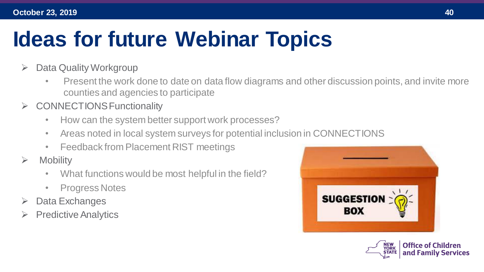# **Ideas for future Webinar Topics**

- ➢ Data Quality Workgroup
	- Present the work done to date on data flow diagrams and other discussion points, and invite more counties and agencies to participate
- ➢ CONNECTIONS Functionality
	- How can the system better support work processes?
	- Areas noted in local system surveys for potential inclusion in CONNECTIONS
	- Feedback from Placement RIST meetings
- $\triangleright$  Mobility
	- What functions would be most helpful in the field?
	- Progress Notes
- ➢ Data Exchanges
- ➢ Predictive Analytics